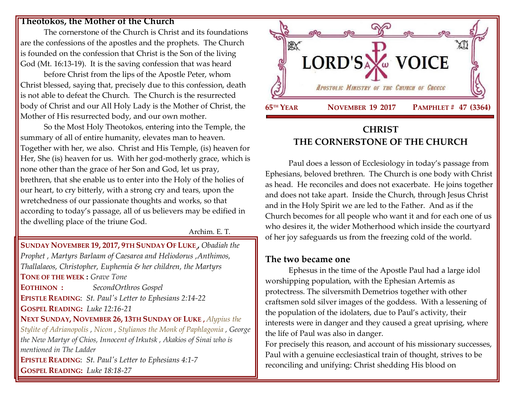#### **Theotokos, the Mother of the Church**

The cornerstone of the Church is Christ and its foundations are the confessions of the apostles and the prophets. The Church is founded on the confession that Christ is the Son of the living God (Mt. 16:13-19). It is the saving confession that was heard

before Christ from the lips of the Apostle Peter, whom Christ blessed, saying that, precisely due to this confession, death is not able to defeat the Church. The Church is the resurrected body of Christ and our All Holy Lady is the Mother of Christ, the Mother of His resurrected body, and our own mother.

So the Most Holy Theotokos, entering into the Temple, the summary of all of entire humanity, elevates man to heaven. Together with her, we also. Christ and His Temple, (is) heaven for Her, She (is) heaven for us. With her god-motherly grace, which is none other than the grace of her Son and God, let us pray, brethren, that she enable us to enter into the Holy of the holies of our heart, to cry bitterly, with a strong cry and tears, upon the wretchedness of our passionate thoughts and works, so that according to today's passage, all of us believers may be edified in the dwelling place of the triune God.

Archim. E. T.

**SUNDAY NOVEMBER 19, 2017, 9TH S[UNDAY](https://www.goarch.org/chapel/saints?contentid=992&PCode=9LS&D=S&date=11/19/2017) OF LUKE ,** *[Obadiah the](https://www.goarch.org/chapel/saints?contentid=297)  [Prophet ,](https://www.goarch.org/chapel/saints?contentid=297) [Martyrs Barlaam of Caesarea and Heliodorus ,](https://www.goarch.org/chapel/saints?contentid=298)Anthimos, Thallalaeos, Christopher, Euphemia & her children, the Martyrs* **TONE OF THE WEEK :** *Grave Tone* **EOTHINON :** *SecondOrthros Gospel* **EPISTLE READING**: *St. Paul's Letter [to Ephesians 2:14-22](https://www.goarch.org/chapel/lectionary?type=epistle&code=27&event=940&date=5/28/2017)* **GOSPEL R[EADING](https://www.goarch.org/chapel/lectionary?type=gospel&code=43&event=940&date=5/28/2017):** *Luke 12:16-21* **NEXT SUNDAY, NOVEMBER 26, 13TH S[UNDAY OF](https://www.goarch.org/chapel/saints?contentid=1139&PCode=13LS&D=S&date=11/26/2017) LUKE ,** *[Alypius the](https://www.goarch.org/chapel/saints?contentid=309)  [Stylite of Adrianopolis](https://www.goarch.org/chapel/saints?contentid=309) , [Nicon](https://www.goarch.org/chapel/saints?contentid=310) , [Stylianos the Monk of Paphlagonia](https://www.goarch.org/chapel/saints?contentid=311) , George the New Martyr of Chios, Innocent of Irkutsk , Akakios of Sinai who is mentioned in The Ladder* **EPISTLE READING**: *St. Paul's Letter [to Ephesians 4:1-7](https://www.goarch.org/chapel/lectionary?type=epistle&code=27&event=940&date=5/28/2017)* **GOSPEL R[EADING](https://www.goarch.org/chapel/lectionary?type=gospel&code=43&event=940&date=5/28/2017):** *Luke 18:18-27*



# **CHRIST THE CORNERSTONE OF THE CHURCH**

Paul does a lesson of Ecclesiology in today's passage from Ephesians, beloved brethren. The Church is one body with Christ as head. He reconciles and does not exacerbate. He joins together and does not take apart. Inside the Church, through Jesus Christ and in the Holy Spirit we are led to the Father. And as if the Church becomes for all people who want it and for each one of us who desires it, the wider Motherhood which inside the courtyard of her joy safeguards us from the freezing cold of the world.

### **The two became one**

Ephesus in the time of the Apostle Paul had a large idol worshipping population, with the Ephesian Artemis as protectress. The silversmith Demetrios together with other craftsmen sold silver images of the goddess. With a lessening of the population of the idolaters, due to Paul's activity, their interests were in danger and they caused a great uprising, where the life of Paul was also in danger.

For precisely this reason, and account of his missionary successes, Paul with a genuine ecclesiastical train of thought, strives to be reconciling and unifying: Christ shedding His blood on